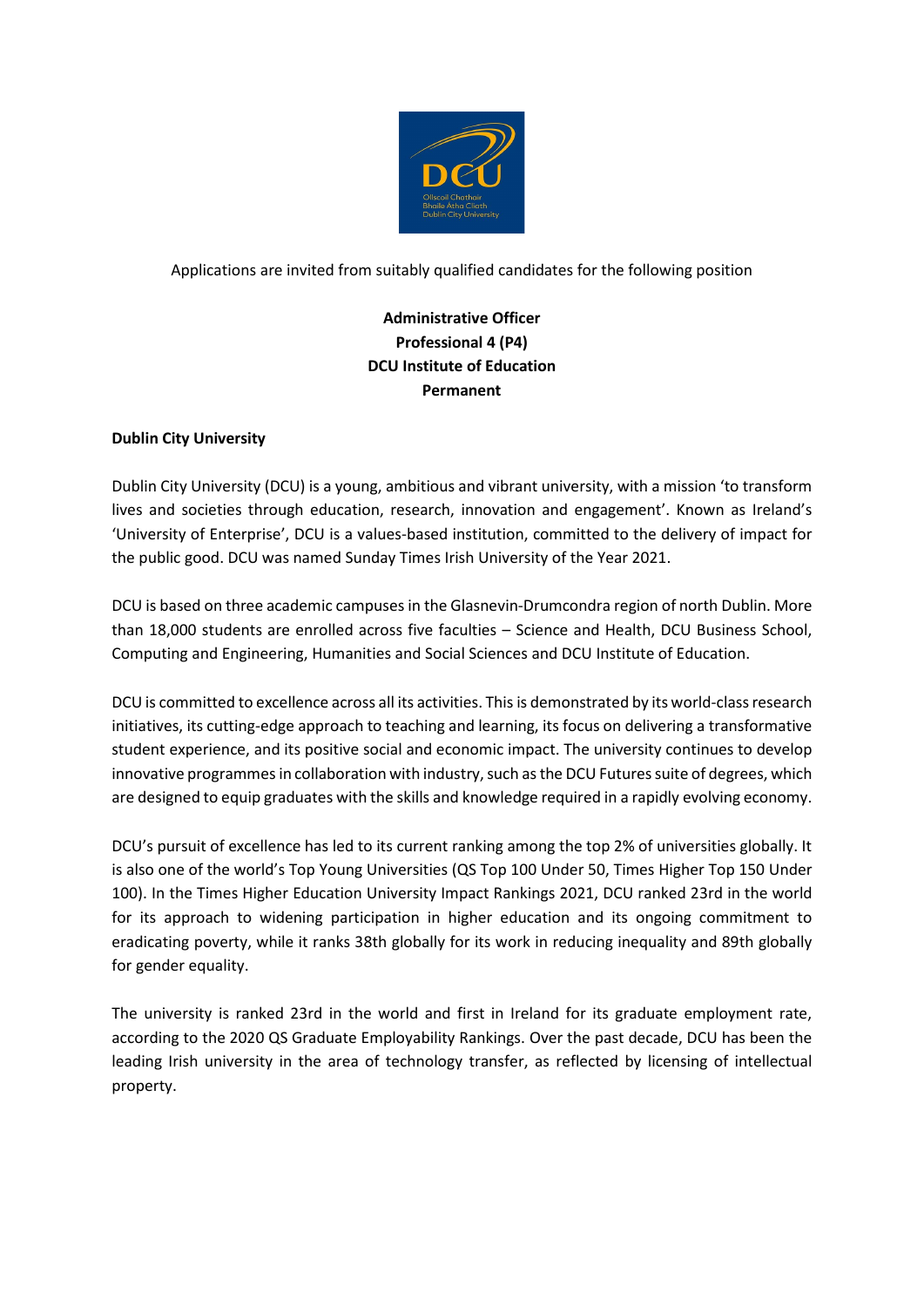

Applications are invited from suitably qualified candidates for the following position

# **Administrative Officer Professional 4 (P4) DCU Institute of Education Permanent**

# **Dublin City University**

Dublin City University (DCU) is a young, ambitious and vibrant university, with a mission 'to transform lives and societies through education, research, innovation and engagement'. Known as Ireland's 'University of Enterprise', DCU is a values-based institution, committed to the delivery of impact for the public good. DCU was named Sunday Times Irish University of the Year 2021.

DCU is based on three academic campuses in the Glasnevin-Drumcondra region of north Dublin. More than 18,000 students are enrolled across five faculties – Science and Health, DCU Business School, Computing and Engineering, Humanities and Social Sciences and DCU Institute of Education.

DCU is committed to excellence across all its activities. This is demonstrated by its world-class research initiatives, its cutting-edge approach to teaching and learning, its focus on delivering a transformative student experience, and its positive social and economic impact. The university continues to develop innovative programmes in collaboration with industry, such as the DCU Futures suite of degrees, which are designed to equip graduates with the skills and knowledge required in a rapidly evolving economy.

DCU's pursuit of excellence has led to its current ranking among the top 2% of universities globally. It is also one of the world's Top Young Universities (QS Top 100 Under 50, Times Higher Top 150 Under 100). In the Times Higher Education University Impact Rankings 2021, DCU ranked 23rd in the world for its approach to widening participation in higher education and its ongoing commitment to eradicating poverty, while it ranks 38th globally for its work in reducing inequality and 89th globally for gender equality.

The university is ranked 23rd in the world and first in Ireland for its graduate employment rate, according to the 2020 QS Graduate Employability Rankings. Over the past decade, DCU has been the leading Irish university in the area of technology transfer, as reflected by licensing of intellectual property.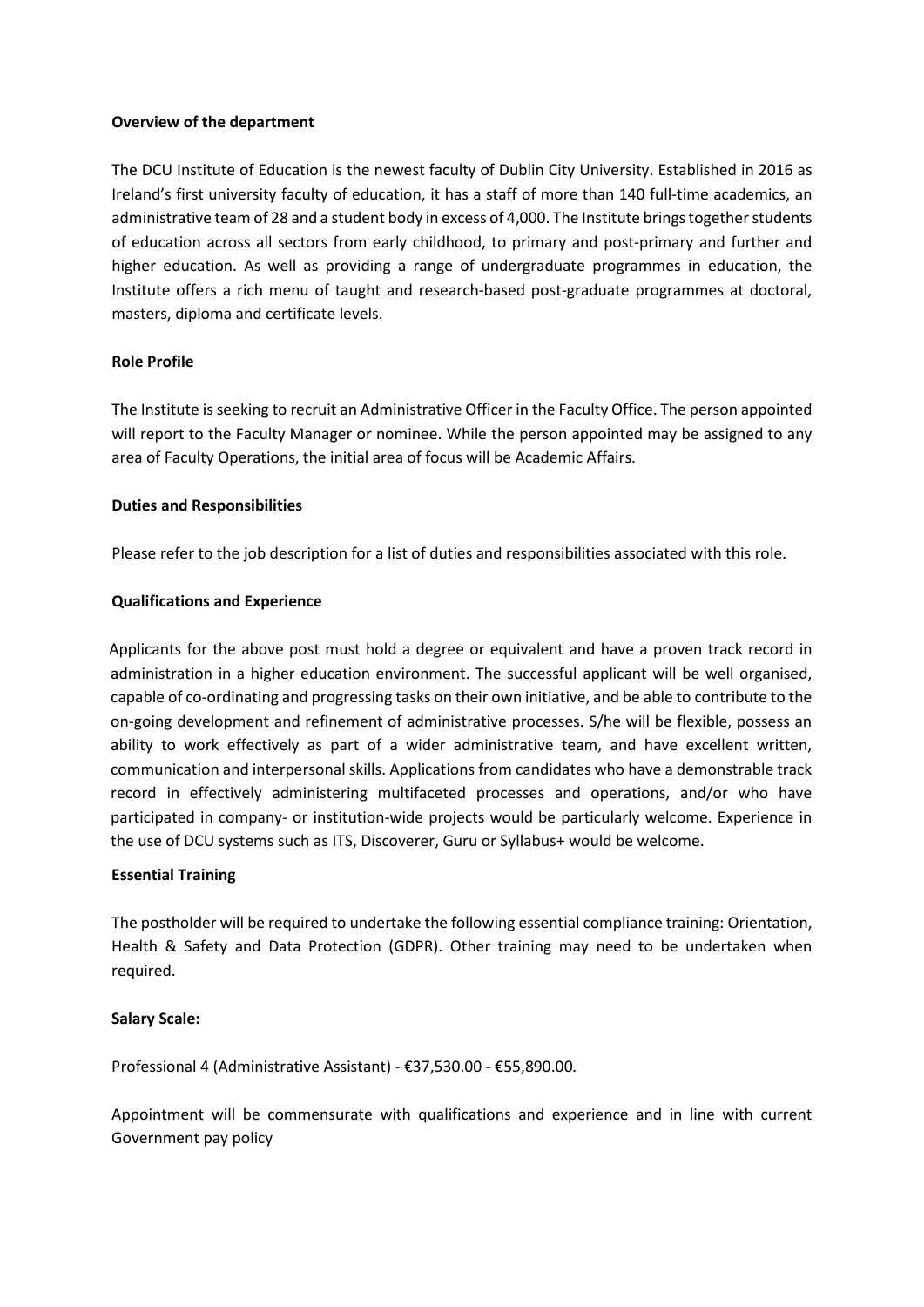### **Overview of the department**

The DCU Institute of Education is the newest faculty of Dublin City University. Established in 2016 as Ireland's first university faculty of education, it has a staff of more than 140 full-time academics, an administrative team of 28 and a student body in excess of 4,000. The Institute brings together students of education across all sectors from early childhood, to primary and post-primary and further and higher education. As well as providing a range of undergraduate programmes in education, the Institute offers a rich menu of taught and research-based post-graduate programmes at doctoral, masters, diploma and certificate levels.

### **Role Profile**

The Institute is seeking to recruit an Administrative Officer in the Faculty Office. The person appointed will report to the Faculty Manager or nominee. While the person appointed may be assigned to any area of Faculty Operations, the initial area of focus will be Academic Affairs.

#### **Duties and Responsibilities**

Please refer to the job description for a list of duties and responsibilities associated with this role.

#### **Qualifications and Experience**

Applicants for the above post must hold a degree or equivalent and have a proven track record in administration in a higher education environment. The successful applicant will be well organised, capable of co-ordinating and progressing tasks on their own initiative, and be able to contribute to the on-going development and refinement of administrative processes. S/he will be flexible, possess an ability to work effectively as part of a wider administrative team, and have excellent written, communication and interpersonal skills. Applications from candidates who have a demonstrable track record in effectively administering multifaceted processes and operations, and/or who have participated in company- or institution-wide projects would be particularly welcome. Experience in the use of DCU systems such as ITS, Discoverer, Guru or Syllabus+ would be welcome.

#### **Essential Training**

The postholder will be required to undertake the following essential compliance training: Orientation, Health & Safety and Data Protection (GDPR). Other training may need to be undertaken when required.

### **Salary Scale:**

Professional 4 (Administrative Assistant) - €37,530.00 - €55,890.00*.*

Appointment will be commensurate with qualifications and experience and in line with current Government pay policy